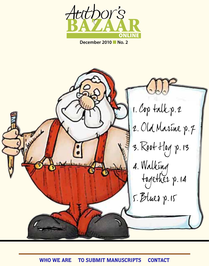

**December 2010** n **No. 2**

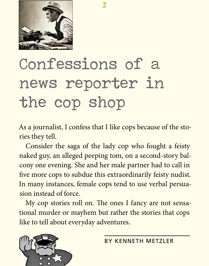

## Confessions of a news reporter in the cop shop

As a journalist, I confess that I like cops because of the stories they tell.

2

Consider the saga of the lady cop who fought a feisty naked guy, an alleged peeping tom, on a second-story balcony one evening. She and her male partner had to call in five more cops to subdue this extraordinarily feisty nudist. In many instances, female cops tend to use verbal persuasion instead of force.

My cop stories roll on. The ones I fancy are not sensational murder or mayhem but rather the stories that cops like to tell about everyday adventures.

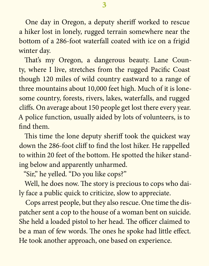One day in Oregon, a deputy sheriff worked to rescue a hiker lost in lonely, rugged terrain somewhere near the bottom of a 286-foot waterfall coated with ice on a frigid winter day.

That's my Oregon, a dangerous beauty. Lane County, where I live, stretches from the rugged Pacific Coast though 120 miles of wild country eastward to a range of three mountains about 10,000 feet high. Much of it is lonesome country, forests, rivers, lakes, waterfalls, and rugged cliffs. On average about 150 people get lost there every year. A police function, usually aided by lots of volunteers, is to find them.

This time the lone deputy sheriff took the quickest way down the 286-foot cliff to find the lost hiker. He rappelled to within 20 feet of the bottom. He spotted the hiker standing below and apparently unharmed.

"Sir," he yelled. "Do you like cops?"

Well, he does now. The story is precious to cops who daily face a public quick to criticize, slow to appreciate.

Cops arrest people, but they also rescue. One time the dispatcher sent a cop to the house of a woman bent on suicide. She held a loaded pistol to her head. The officer claimed to be a man of few words. The ones he spoke had little effect. He took another approach, one based on experience.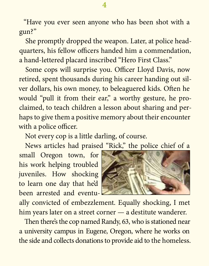"Have you ever seen anyone who has been shot with a gun?"

She promptly dropped the weapon. Later, at police headquarters, his fellow officers handed him a commendation, a hand-lettered placard inscribed "Hero First Class."

Some cops will surprise you. Officer Lloyd Davis, now retired, spent thousands during his career handing out silver dollars, his own money, to beleaguered kids. Often he would "pull it from their ear," a worthy gesture, he proclaimed, to teach children a lesson about sharing and perhaps to give them a positive memory about their encounter with a police officer.

Not every cop is a little darling, of course.

News articles had praised "Rick," the police chief of a

small Oregon town, for his work helping troubled juveniles. How shocking to learn one day that he'd been arrested and eventu-



ally convicted of embezzlement. Equally shocking, I met him years later on a street corner — a destitute wanderer.

Then there's the cop named Randy, 63, who is stationed near a university campus in Eugene, Oregon, where he works on the side and collects donations to provide aid to the homeless.

## 4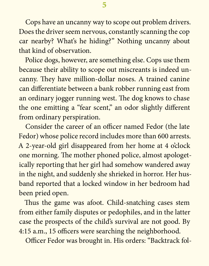Cops have an uncanny way to scope out problem drivers. Does the driver seem nervous, constantly scanning the cop car nearby? What's he hiding?" Nothing uncanny about that kind of observation.

Police dogs, however, are something else. Cops use them because their ability to scope out miscreants is indeed uncanny. They have million-dollar noses. A trained canine can differentiate between a bank robber running east from an ordinary jogger running west. The dog knows to chase the one emitting a "fear scent," an odor slightly different from ordinary perspiration.

Consider the career of an officer named Fedor (the late Fedor) whose police record includes more than 600 arrests. A 2-year-old girl disappeared from her home at 4 o'clock one morning. The mother phoned police, almost apologetically reporting that her girl had somehow wandered away in the night, and suddenly she shrieked in horror. Her husband reported that a locked window in her bedroom had been pried open.

Thus the game was afoot. Child-snatching cases stem from either family disputes or pedophiles, and in the latter case the prospects of the child's survival are not good. By 4:15 a.m., 15 officers were searching the neighborhood.

Officer Fedor was brought in. His orders: "Backtrack fol-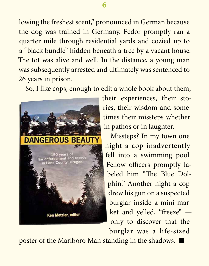lowing the freshest scent," pronounced in German because the dog was trained in Germany. Fedor promptly ran a quarter mile through residential yards and cozied up to a "black bundle" hidden beneath a tree by a vacant house. The tot was alive and well. In the distance, a young man was subsequently arrested and ultimately was sentenced to 26 years in prison.

So, I like cops, enough to edit a whole book about them,



their experiences, their stories, their wisdom and sometimes their missteps whether in pathos or in laughter.

Missteps? In my town one night a cop inadvertently fell into a swimming pool. Fellow officers promptly labeled him "The Blue Dolphin." Another night a cop drew his gun on a suspected burglar inside a mini-market and yelled, "freeze" only to discover that the burglar was a life-sized

poster of the Marlboro Man standing in the shadows.  $\blacksquare$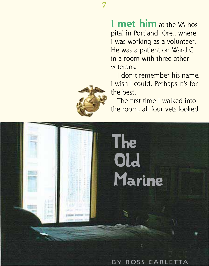7

**I** met him at the VA hospital in Portland, Ore., where I was working as a volunteer. He was a patient on Ward C in a room with three other veterans.

I don't remember his name. I wish I could. Perhaps it's for the best.

The first time I walked into the room, all four vets looked



BY ROSS CARLETTA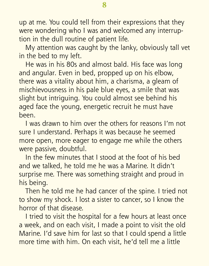up at me. You could tell from their expressions that they were wondering who I was and welcomed any interruption in the dull routine of patient life.

My attention was caught by the lanky, obviously tall vet in the bed to my left.

He was in his 80s and almost bald. His face was long and angular. Even in bed, propped up on his elbow, there was a vitality about him, a charisma, a gleam of mischievousness in his pale blue eyes, a smile that was slight but intriguing. You could almost see behind his aged face the young, energetic recruit he must have been.

I was drawn to him over the others for reasons I'm not sure I understand. Perhaps it was because he seemed more open, more eager to engage me while the others were passive, doubtful.

In the few minutes that I stood at the foot of his bed and we talked, he told me he was a Marine. It didn't surprise me. There was something straight and proud in his being.

Then he told me he had cancer of the spine. I tried not to show my shock. I lost a sister to cancer, so I know the horror of that disease.

I tried to visit the hospital for a few hours at least once a week, and on each visit, I made a point to visit the old Marine. I'd save him for last so that I could spend a little more time with him. On each visit, he'd tell me a little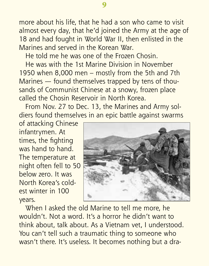more about his life, that he had a son who came to visit almost every day, that he'd joined the Army at the age of 18 and had fought in World War II, then enlisted in the Marines and served in the Korean War.

He told me he was one of the Frozen Chosin.

He was with the 1st Marine Division in November 1950 when 8,000 men – mostly from the 5th and 7th Marines — found themselves trapped by tens of thousands of Communist Chinese at a snowy, frozen place called the Chosin Reservoir in North Korea.

From Nov. 27 to Dec. 13, the Marines and Army soldiers found themselves in an epic battle against swarms

of attacking Chinese infantrymen. At times, the fighting was hand to hand. The temperature at night often fell to 50 below zero. It was North Korea's coldest winter in 100 years.



When I asked the old Marine to tell me more, he wouldn't. Not a word. It's a horror he didn't want to think about, talk about. As a Vietnam vet, I understood. You can't tell such a traumatic thing to someone who wasn't there. It's useless. It becomes nothing but a dra-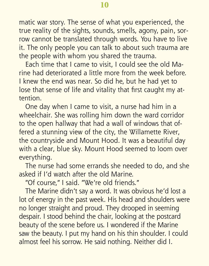matic war story. The sense of what you experienced, the true reality of the sights, sounds, smells, agony, pain, sorrow cannot be translated through words. You have to live it. The only people you can talk to about such trauma are the people with whom you shared the trauma.

Each time that I came to visit, I could see the old Marine had deteriorated a little more from the week before. I knew the end was near. So did he, but he had yet to lose that sense of life and vitality that first caught my attention.

One day when I came to visit, a nurse had him in a wheelchair. She was rolling him down the ward corridor to the open hallway that had a wall of windows that offered a stunning view of the city, the Willamette River, the countryside and Mount Hood. It was a beautiful day with a clear, blue sky. Mount Hood seemed to loom over everything.

The nurse had some errands she needed to do, and she asked if I'd watch after the old Marine.

"Of course," I said. "We're old friends."

The Marine didn't say a word. It was obvious he'd lost a lot of energy in the past week. His head and shoulders were no longer straight and proud. They drooped in seeming despair. I stood behind the chair, looking at the postcard beauty of the scene before us. I wondered if the Marine saw the beauty. I put my hand on his thin shoulder. I could almost feel his sorrow. He said nothing. Neither did I.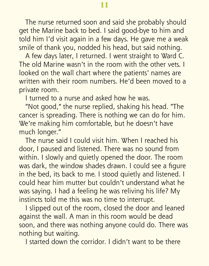The nurse returned soon and said she probably should get the Marine back to bed. I said good-bye to him and told him I'd visit again in a few days. He gave me a weak smile of thank you, nodded his head, but said nothing.

A few days later, I returned. I went straight to Ward C. The old Marine wasn't in the room with the other vets. I looked on the wall chart where the patients' names are written with their room numbers. He'd been moved to a private room.

I turned to a nurse and asked how he was.

"Not good," the nurse replied, shaking his head. "The cancer is spreading. There is nothing we can do for him. We're making him comfortable, but he doesn't have much longer."

The nurse said I could visit him. When I reached his door, I paused and listened. There was no sound from within. I slowly and quietly opened the door. The room was dark, the window shades drawn. I could see a figure in the bed, its back to me. I stood quietly and listened. I could hear him mutter but couldn't understand what he was saying. I had a feeling he was reliving his life? My instincts told me this was no time to interrupt.

I slipped out of the room, closed the door and leaned against the wall. A man in this room would be dead soon, and there was nothing anyone could do. There was nothing but waiting.

I started down the corridor. I didn't want to be there

11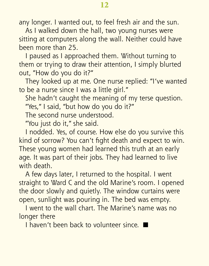any longer. I wanted out, to feel fresh air and the sun.

As I walked down the hall, two young nurses were sitting at computers along the wall. Neither could have been more than 25.

I paused as I approached them. Without turning to them or trying to draw their attention, I simply blurted out, "How do you do it?"

They looked up at me. One nurse replied: "I've wanted to be a nurse since I was a little girl."

She hadn't caught the meaning of my terse question. "Yes," I said, "but how do you do it?"

The second nurse understood.

"You just do it," she said.

I nodded. Yes, of course. How else do you survive this kind of sorrow? You can't fight death and expect to win. These young women had learned this truth at an early age. It was part of their jobs. They had learned to live with death.

A few days later, I returned to the hospital. I went straight to Ward C and the old Marine's room. I opened the door slowly and quietly. The window curtains were open, sunlight was pouring in. The bed was empty.

I went to the wall chart. The Marine's name was no longer there

I haven't been back to volunteer since.  $\blacksquare$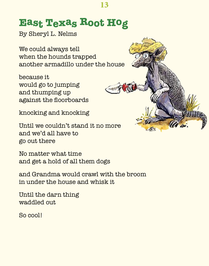## **East Texas Root Hog**

By Sheryl L. Nelms

We could always tell when the hounds trapped another armadillo under the house

because it would go to jumping and thumping up against the floorboards

knocking and knocking

Until we couldn't stand it no more and we'd all have to go out there

No matter what time and get a hold of all them dogs

and Grandma would crawl with the broom in under the house and whisk it

Until the darn thing waddled out.

So cool!



13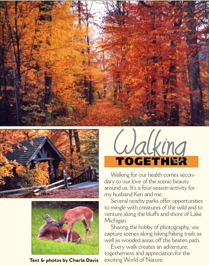





**Text & photos by Charla Davis**



Walking for our health comes secondary to our love of the scenic beauty around us. It's a four-season activity for my husband Ken and me.

Several nearby parks offer opportunities to mingle with creatures of the wild and to venture along the bluffs and shore of Lake Michigan.

Sharing the hobby of photography, we capture scenes along biking/hiking trails as well as wooded areas off the beaten path.

Every walk creates an adventure, togetherness and appreciation for the exciting World of Nature.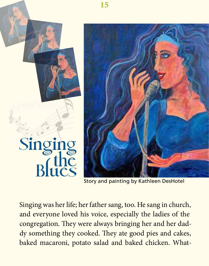

Story and painting by Kathleen DesHotel

Singing was her life; her father sang, too. He sang in church, and everyone loved his voice, especially the ladies of the congregation. They were always bringing her and her daddy something they cooked. They ate good pies and cakes, baked macaroni, potato salad and baked chicken. What-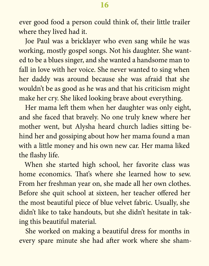ever good food a person could think of, their little trailer where they lived had it.

Joe Paul was a bricklayer who even sang while he was working, mostly gospel songs. Not his daughter. She wanted to be a blues singer, and she wanted a handsome man to fall in love with her voice. She never wanted to sing when her daddy was around because she was afraid that she wouldn't be as good as he was and that his criticism might make her cry. She liked looking brave about everything.

Her mama left them when her daughter was only eight, and she faced that bravely. No one truly knew where her mother went, but Alysha heard church ladies sitting behind her and gossiping about how her mama found a man with a little money and his own new car. Her mama liked the flashy life.

When she started high school, her favorite class was home economics. That's where she learned how to sew. From her freshman year on, she made all her own clothes. Before she quit school at sixteen, her teacher offered her the most beautiful piece of blue velvet fabric. Usually, she didn't like to take handouts, but she didn't hesitate in taking this beautiful material.

She worked on making a beautiful dress for months in every spare minute she had after work where she sham-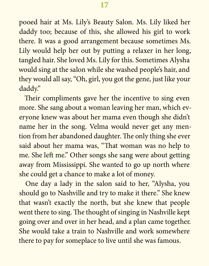pooed hair at Ms. Lily's Beauty Salon. Ms. Lily liked her daddy too; because of this, she allowed his girl to work there. It was a good arrangement because sometimes Ms. Lily would help her out by putting a relaxer in her long, tangled hair. She loved Ms. Lily for this. Sometimes Alysha would sing at the salon while she washed people's hair, and they would all say, "Oh, girl, you got the gene, just like your daddy."

Their compliments gave her the incentive to sing even more. She sang about a woman leaving her man, which everyone knew was about her mama even though she didn't name her in the song. Velma would never get any mention from her abandoned daughter. The only thing she ever said about her mama was, "That woman was no help to me. She left me." Other songs she sang were about getting away from Mississippi. She wanted to go up north where she could get a chance to make a lot of money.

One day a lady in the salon said to her, "Alysha, you should go to Nashville and try to make it there." She knew that wasn't exactly the north, but she knew that people went there to sing. The thought of singing in Nashville kept going over and over in her head, and a plan came together. She would take a train to Nashville and work somewhere there to pay for someplace to live until she was famous.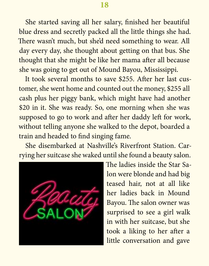She started saving all her salary, finished her beautiful blue dress and secretly packed all the little things she had. There wasn't much, but she'd need something to wear. All day every day, she thought about getting on that bus. She thought that she might be like her mama after all because she was going to get out of Mound Bayou, Mississippi.

It took several months to save \$255. After her last customer, she went home and counted out the money, \$255 all cash plus her piggy bank, which might have had another \$20 in it. She was ready. So, one morning when she was supposed to go to work and after her daddy left for work, without telling anyone she walked to the depot, boarded a train and headed to find singing fame.

She disembarked at Nashville's Riverfront Station. Carrying her suitcase she waked until she found a beauty salon.



The ladies inside the Star Salon were blonde and had big teased hair, not at all like her ladies back in Mound Bayou. The salon owner was surprised to see a girl walk in with her suitcase, but she took a liking to her after a little conversation and gave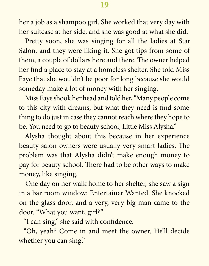her a job as a shampoo girl. She worked that very day with her suitcase at her side, and she was good at what she did.

Pretty soon, she was singing for all the ladies at Star Salon, and they were liking it. She got tips from some of them, a couple of dollars here and there. The owner helped her find a place to stay at a homeless shelter. She told Miss Faye that she wouldn't be poor for long because she would someday make a lot of money with her singing.

Miss Faye shook her head and told her, "Many people come to this city with dreams, but what they need is find something to do just in case they cannot reach where they hope to be. You need to go to beauty school, Little Miss Alysha."

Alysha thought about this because in her experience beauty salon owners were usually very smart ladies. The problem was that Alysha didn't make enough money to pay for beauty school. There had to be other ways to make money, like singing.

One day on her walk home to her shelter, she saw a sign in a bar room window: Entertainer Wanted. She knocked on the glass door, and a very, very big man came to the door. "What you want, girl?"

"I can sing," she said with confidence.

"Oh, yeah? Come in and meet the owner. He'll decide whether you can sing."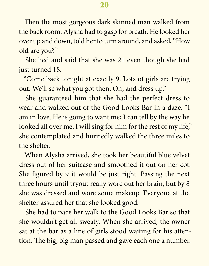Then the most gorgeous dark skinned man walked from the back room. Alysha had to gasp for breath. He looked her over up and down, told her to turn around, and asked, "How old are you?"

She lied and said that she was 21 even though she had just turned 18.

"Come back tonight at exactly 9. Lots of girls are trying out. We'll se what you got then. Oh, and dress up."

She guaranteed him that she had the perfect dress to wear and walked out of the Good Looks Bar in a daze. "I am in love. He is going to want me; I can tell by the way he looked all over me. I will sing for him for the rest of my life," she contemplated and hurriedly walked the three miles to the shelter.

When Alysha arrived, she took her beautiful blue velvet dress out of her suitcase and smoothed it out on her cot. She figured by 9 it would be just right. Passing the next three hours until tryout really wore out her brain, but by 8 she was dressed and wore some makeup. Everyone at the shelter assured her that she looked good.

She had to pace her walk to the Good Looks Bar so that she wouldn't get all sweaty. When she arrived, the owner sat at the bar as a line of girls stood waiting for his attention. The big, big man passed and gave each one a number.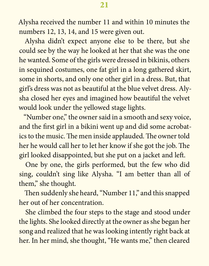Alysha received the number 11 and within 10 minutes the numbers 12, 13, 14, and 15 were given out.

Alysha didn't expect anyone else to be there, but she could see by the way he looked at her that she was the one he wanted. Some of the girls were dressed in bikinis, others in sequined costumes, one fat girl in a long gathered skirt, some in shorts, and only one other girl in a dress. But, that girl's dress was not as beautiful at the blue velvet dress. Alysha closed her eyes and imagined how beautiful the velvet would look under the yellowed stage lights.

"Number one," the owner said in a smooth and sexy voice, and the first girl in a bikini went up and did some acrobatics to the music. The men inside applauded. The owner told her he would call her to let her know if she got the job. The girl looked disappointed, but she put on a jacket and left.

One by one, the girls performed, but the few who did sing, couldn't sing like Alysha. "I am better than all of them," she thought.

Then suddenly she heard, "Number 11," and this snapped her out of her concentration.

She climbed the four steps to the stage and stood under the lights. She looked directly at the owner as she began her song and realized that he was looking intently right back at her. In her mind, she thought, "He wants me," then cleared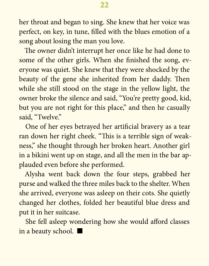her throat and began to sing. She knew that her voice was perfect, on key, in tune, filled with the blues emotion of a song about losing the man you love.

The owner didn't interrupt her once like he had done to some of the other girls. When she finished the song, everyone was quiet. She knew that they were shocked by the beauty of the gene she inherited from her daddy. Then while she still stood on the stage in the yellow light, the owner broke the silence and said, "You're pretty good, kid, but you are not right for this place," and then he casually said, "Twelve."

One of her eyes betrayed her artificial bravery as a tear ran down her right cheek. "This is a terrible sign of weakness," she thought through her broken heart. Another girl in a bikini went up on stage, and all the men in the bar applauded even before she performed.

Alysha went back down the four steps, grabbed her purse and walked the three miles back to the shelter. When she arrived, everyone was asleep on their cots. She quietly changed her clothes, folded her beautiful blue dress and put it in her suitcase.

She fell asleep wondering how she would afford classes in a beauty school.  $\blacksquare$